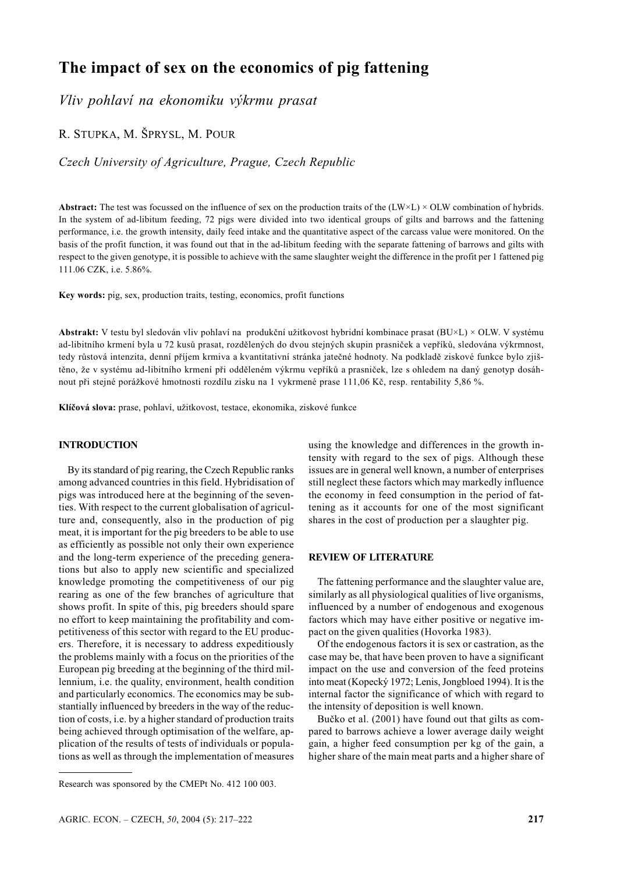# The impact of sex on the economics of pig fattening

Vliv pohlaví na ekonomiku výkrmu prasat

R. STUPKA, M. ŠPRYSL, M. POUR

Czech University of Agriculture, Prague, Czech Republic

**Abstract:** The test was focussed on the influence of sex on the production traits of the  $(LW \times L) \times OLW$  combination of hybrids. In the system of ad-libitum feeding, 72 pigs were divided into two identical groups of gilts and barrows and the fattening performance, i.e. the growth intensity, daily feed intake and the quantitative aspect of the carcass value were monitored. On the basis of the profit function, it was found out that in the ad-libitum feeding with the separate fattening of barrows and gilts with respect to the given genotype, it is possible to achieve with the same slaughter weight the difference in the profit per 1 fattened pig 111.06 CZK, i.e. 5.86%

Key words: pig, sex, production traits, testing, economics, profit functions

**Abstrakt:** V testu byl sledován vliv pohlaví na produkční užitkovost hybridní kombinace prasat ( $BU \times L$ ) × OLW. V systému ad-libitního krmení byla u 72 kusů prasat, rozdělených do dvou stejných skupin prasniček a vepříků, sledována výkrmnost, tedy růstová intenzita, denní příjem krmiva a kvantitativní stránka jatečné hodnoty. Na podkladě ziskové funkce bylo zjištěno, že v systému ad-libitního krmení při odděleném výkrmu vepříků a prasniček, lze s ohledem na daný genotyp dosáhnout při stejné porážkové hmotnosti rozdílu zisku na 1 vykrmené prase 111.06 Kč. resp. rentability 5.86 %.

Klíčová slova: prase, pohlaví, užitkovost, testace, ekonomika, ziskové funkce

#### **INTRODUCTION**

By its standard of pig rearing, the Czech Republic ranks among advanced countries in this field. Hybridisation of pigs was introduced here at the beginning of the seventies. With respect to the current globalisation of agriculture and, consequently, also in the production of pig meat, it is important for the pig breeders to be able to use as efficiently as possible not only their own experience and the long-term experience of the preceding generations but also to apply new scientific and specialized knowledge promoting the competitiveness of our pig rearing as one of the few branches of agriculture that shows profit. In spite of this, pig breeders should spare no effort to keep maintaining the profitability and competitiveness of this sector with regard to the EU producers. Therefore, it is necessary to address expeditiously the problems mainly with a focus on the priorities of the European pig breeding at the beginning of the third millennium, i.e. the quality, environment, health condition and particularly economics. The economics may be substantially influenced by breeders in the way of the reduction of costs, i.e. by a higher standard of production traits being achieved through optimisation of the welfare, application of the results of tests of individuals or populations as well as through the implementation of measures

using the knowledge and differences in the growth intensity with regard to the sex of pigs. Although these issues are in general well known, a number of enterprises still neglect these factors which may markedly influence the economy in feed consumption in the period of fattening as it accounts for one of the most significant shares in the cost of production per a slaughter pig.

#### **REVIEW OF LITERATURE**

The fattening performance and the slaughter value are, similarly as all physiological qualities of live organisms, influenced by a number of endogenous and exogenous factors which may have either positive or negative impact on the given qualities (Hovorka 1983).

Of the endogenous factors it is sex or castration, as the case may be, that have been proven to have a significant impact on the use and conversion of the feed proteins into meat (Kopecký 1972; Lenis, Jongbloed 1994). It is the internal factor the significance of which with regard to the intensity of deposition is well known.

Bučko et al. (2001) have found out that gilts as compared to barrows achieve a lower average daily weight gain, a higher feed consumption per kg of the gain, a higher share of the main meat parts and a higher share of

Research was sponsored by the CMEPt No. 412 100 003.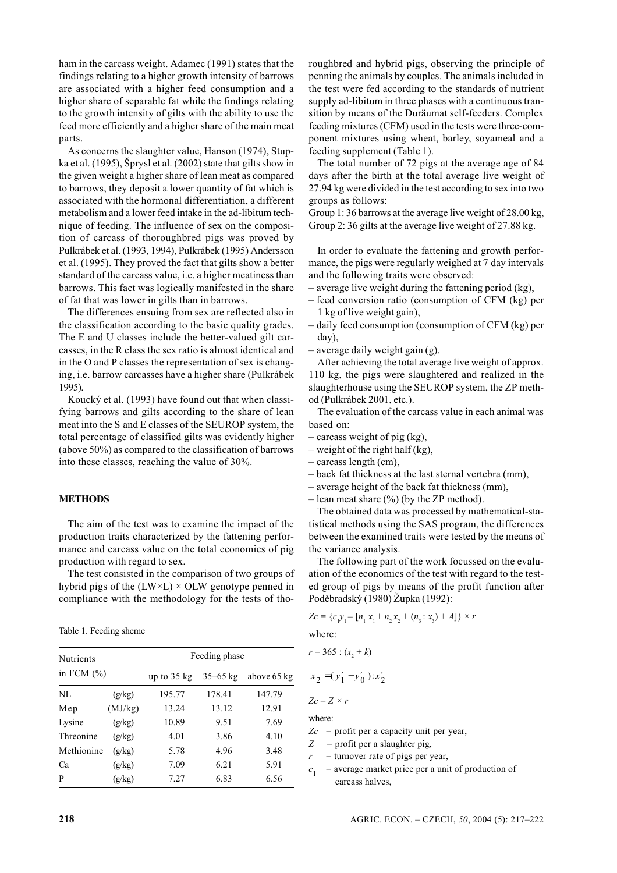ham in the carcass weight. Adamec (1991) states that the findings relating to a higher growth intensity of barrows are associated with a higher feed consumption and a higher share of separable fat while the findings relating to the growth intensity of gilts with the ability to use the feed more efficiently and a higher share of the main meat parts.

As concerns the slaughter value, Hanson (1974), Stupka et al. (1995), Šprysl et al. (2002) state that gilts show in the given weight a higher share of lean meat as compared to barrows, they deposit a lower quantity of fat which is associated with the hormonal differentiation, a different metabolism and a lower feed intake in the ad-libitum technique of feeding. The influence of sex on the composition of carcass of thoroughbred pigs was proved by Pulkrábek et al. (1993, 1994), Pulkrábek (1995) Andersson et al. (1995). They proved the fact that gilts show a better standard of the carcass value, i.e. a higher meatiness than barrows. This fact was logically manifested in the share of fat that was lower in gilts than in barrows.

The differences ensuing from sex are reflected also in the classification according to the basic quality grades. The E and U classes include the better-valued gilt carcasses, in the R class the sex ratio is almost identical and in the O and P classes the representation of sex is changing, i.e. barrow carcasses have a higher share (Pulkrábek 1995).

Koucký et al. (1993) have found out that when classifying barrows and gilts according to the share of lean meat into the S and E classes of the SEUROP system, the total percentage of classified gilts was evidently higher (above  $50\%$ ) as compared to the classification of barrows into these classes, reaching the value of 30%.

#### **METHODS**

The aim of the test was to examine the impact of the production traits characterized by the fattening performance and carcass value on the total economics of pig production with regard to sex.

The test consisted in the comparison of two groups of hybrid pigs of the  $(LW \times L) \times OLW$  genotype penned in compliance with the methodology for the tests of tho-

Table 1. Feeding sheme

| <b>Nutrients</b> |         | Feeding phase         |              |             |  |  |  |
|------------------|---------|-----------------------|--------------|-------------|--|--|--|
| in FCM $(\% )$   |         | up to $35 \text{ kg}$ | $35 - 65$ kg | above 65 kg |  |  |  |
| NL               | (g/kg)  | 195.77                | 178.41       | 147.79      |  |  |  |
| Mep              | (MJ/kg) | 13.24                 | 13.12        | 12.91       |  |  |  |
| Lysine           | (g/kg)  | 10.89                 | 9.51         | 7.69        |  |  |  |
| Threonine        | (g/kg)  | 4.01                  | 3.86         | 4.10        |  |  |  |
| Methionine       | (g/kg)  | 5.78                  | 4.96         | 3.48        |  |  |  |
| Ca               | (g/kg)  | 7.09                  | 6.21         | 5.91        |  |  |  |
| P                | (g/kg)  | 7.27                  | 6.83         | 6.56        |  |  |  |

roughbred and hybrid pigs, observing the principle of penning the animals by couples. The animals included in the test were fed according to the standards of nutrient supply ad-libitum in three phases with a continuous transition by means of the Duräumat self-feeders. Complex feeding mixtures (CFM) used in the tests were three-component mixtures using wheat, barley, soyameal and a feeding supplement (Table 1).

The total number of 72 pigs at the average age of 84 days after the birth at the total average live weight of 27.94 kg were divided in the test according to sex into two groups as follows:

Group 1:36 barrows at the average live weight of 28.00 kg. Group 2: 36 gilts at the average live weight of 27.88 kg.

In order to evaluate the fattening and growth performance, the pigs were regularly weighed at 7 day intervals and the following traits were observed:

- $-$  average live weight during the fattening period (kg),
- $-$  feed conversion ratio (consumption of CFM (kg) per 1 kg of live weight gain),
- $-$  daily feed consumption (consumption of CFM (kg) per  $day)$
- average daily weight gain  $(g)$ .

After achieving the total average live weight of approx. 110 kg, the pigs were slaughtered and realized in the slaughterhouse using the SEUROP system, the ZP method (Pulkrábek 2001, etc.).

The evaluation of the carcass value in each animal was based on:

- $-$  carcass weight of pig (kg),
- $-$  weight of the right half (kg),
- $-$  carcass length (cm),
- back fat thickness at the last sternal vertebra (mm),
- average height of the back fat thickness (mm),
- lean meat share  $(\% )$  (by the ZP method).

The obtained data was processed by mathematical-statistical methods using the SAS program, the differences between the examined traits were tested by the means of the variance analysis.

The following part of the work focussed on the evaluation of the economics of the test with regard to the tested group of pigs by means of the profit function after Poděbradský (1980) Župka (1992):

$$
Zc = \{c_1y_1 - [n_1x_1 + n_2x_2 + (n_3:x_3) + A]\} \times r
$$
  
where:  

$$
r = 365 : (x_2 + k)
$$
  

$$
x_2 = (y'_1 - y'_0) : x'_2
$$
  

$$
Zc = Z \times r
$$
  
where:

- $Zc =$  profit per a capacity unit per year,
- $=$  profit per a slaughter pig. Z
- $=$  turnover rate of pigs per year,  $\mathbf{r}$
- $c_1$  = average market price per a unit of production of carcass halves,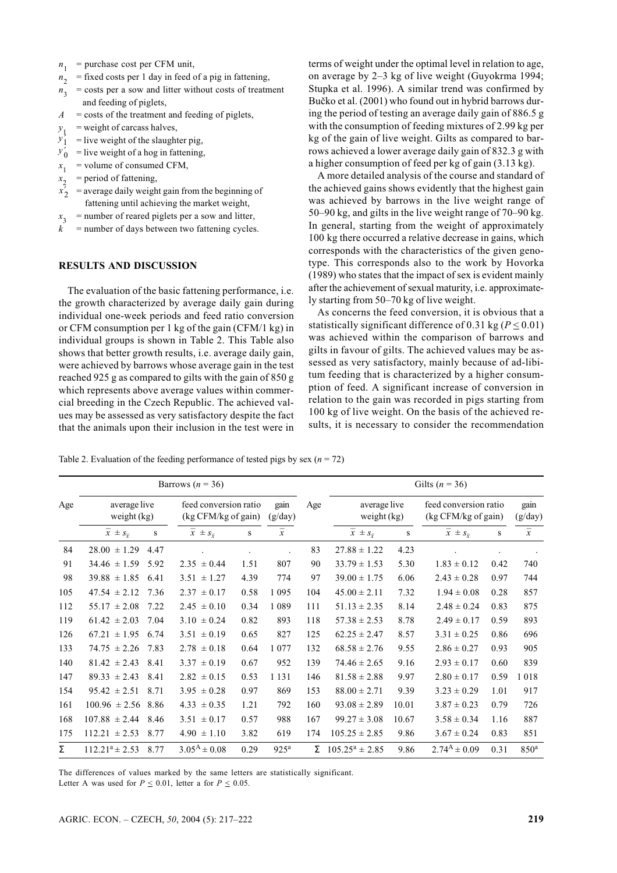- $n_{1}$  $=$  purchase cost per CFM unit,
- = fixed costs per 1 day in feed of a pig in fattening,  $n_{2}$
- $n<sub>3</sub>$  $=$  costs per a sow and litter without costs of treatment and feeding of piglets,
- $\boldsymbol{A}$  $=$  costs of the treatment and feeding of piglets,
- $y_1$ = weight of carcass halves,
- $y_1'$  $=$  live weight of the slaughter pig,
- $=$  live weight of a hog in fattening,  $y'_0$
- $=$  volume of consumed CFM,  $x_1$
- $\frac{x_2}{x_2}$  $=$  period of fattening.
- $=$  average daily weight gain from the beginning of fattening until achieving the market weight,
- = number of reared piglets per a sow and litter,  $x_{3}$
- = number of days between two fattening cycles.  $\boldsymbol{k}$

#### **RESULTS AND DISCUSSION**

The evaluation of the basic fattening performance, i.e. the growth characterized by average daily gain during individual one-week periods and feed ratio conversion or CFM consumption per 1 kg of the gain (CFM/1 kg) in individual groups is shown in Table 2. This Table also shows that better growth results, *i.e.* average daily gain, were achieved by barrows whose average gain in the test reached 925 g as compared to gilts with the gain of 850 g which represents above average values within commercial breeding in the Czech Republic. The achieved values may be assessed as very satisfactory despite the fact that the animals upon their inclusion in the test were in terms of weight under the optimal level in relation to age, on average by 2–3 kg of live weight (Guvokrma 1994; Stupka et al. 1996). A similar trend was confirmed by Bučko et al. (2001) who found out in hybrid barrows during the period of testing an average daily gain of 886.5 g with the consumption of feeding mixtures of 2.99 kg per kg of the gain of live weight. Gilts as compared to barrows achieved a lower average daily gain of 832.3 g with a higher consumption of feed per kg of gain  $(3.13 \text{ kg})$ .

A more detailed analysis of the course and standard of the achieved gains shows evidently that the highest gain was achieved by barrows in the live weight range of 50–90 kg, and gilts in the live weight range of 70–90 kg. In general, starting from the weight of approximately 100 kg there occurred a relative decrease in gains, which corresponds with the characteristics of the given genotype. This corresponds also to the work by Hovorka (1989) who states that the impact of sex is evident mainly after the achievement of sexual maturity, i.e. approximately starting from 50–70 kg of live weight.

As concerns the feed conversion, it is obvious that a statistically significant difference of 0.31 kg ( $P < 0.01$ ) was achieved within the comparison of barrows and gilts in favour of gilts. The achieved values may be assessed as very satisfactory, mainly because of ad-libitum feeding that is characterized by a higher consumption of feed. A significant increase of conversion in relation to the gain was recorded in pigs starting from 100 kg of live weight. On the basis of the achieved results, it is necessary to consider the recommendation

Table 2. Evaluation of the feeding performance of tested pigs by sex ( $n = 72$ )

|     | Barrows $(n = 36)$                  |      |                                              |      |                  |     | Gilts ( $n = 36$ )                  |       |                                              |      |                  |  |
|-----|-------------------------------------|------|----------------------------------------------|------|------------------|-----|-------------------------------------|-------|----------------------------------------------|------|------------------|--|
| Age | average live<br>weight $(kg)$       |      | feed conversion ratio<br>(kg CFM/kg of gain) |      | gain<br>(g/day)  | Age | average live<br>weight $(kg)$       |       | feed conversion ratio<br>(kg CFM/kg of gain) |      | gain<br>(g/day)  |  |
|     | $\overline{x} \pm s_{\overline{x}}$ | S    | $\overline{x} \pm s_{\overline{x}}$          | S    | $\overline{x}$   |     | $\overline{x} \pm s_{\overline{x}}$ | S     | $\overline{x} \pm s_{\overline{x}}$          | S    | $\overline{x}$   |  |
| 84  | $28.00 \pm 1.29$                    | 4.47 |                                              |      |                  | 83  | $27.88 \pm 1.22$                    | 4.23  |                                              |      |                  |  |
| 91  | $34.46 \pm 1.59$                    | 5.92 | $2.35 \pm 0.44$                              | 1.51 | 807              | 90  | $33.79 \pm 1.53$                    | 5.30  | $1.83 \pm 0.12$                              | 0.42 | 740              |  |
| 98  | $39.88 \pm 1.85$                    | 6.41 | $3.51 \pm 1.27$                              | 4.39 | 774              | 97  | $39.00 \pm 1.75$                    | 6.06  | $2.43 \pm 0.28$                              | 0.97 | 744              |  |
| 105 | $47.54 \pm 2.12$                    | 7.36 | $2.37 \pm 0.17$                              | 0.58 | 1 0 9 5          | 104 | $45.00 \pm 2.11$                    | 7.32  | $1.94 \pm 0.08$                              | 0.28 | 857              |  |
| 112 | $55.17 \pm 2.08$                    | 7.22 | $2.45 \pm 0.10$                              | 0.34 | 1 0 8 9          | 111 | $51.13 \pm 2.35$                    | 8.14  | $2.48 \pm 0.24$                              | 0.83 | 875              |  |
| 119 | $61.42 \pm 2.03$                    | 7.04 | $3.10 \pm 0.24$                              | 0.82 | 893              | 118 | $57.38 \pm 2.53$                    | 8.78  | $2.49 \pm 0.17$                              | 0.59 | 893              |  |
| 126 | $67.21 \pm 1.95$                    | 6.74 | $3.51 \pm 0.19$                              | 0.65 | 827              | 125 | $62.25 \pm 2.47$                    | 8.57  | $3.31 \pm 0.25$                              | 0.86 | 696              |  |
| 133 | $74.75 \pm 2.26$                    | 7.83 | $2.78 \pm 0.18$                              | 0.64 | 1 0 7 7          | 132 | $68.58 \pm 2.76$                    | 9.55  | $2.86 \pm 0.27$                              | 0.93 | 905              |  |
| 140 | $81.42 \pm 2.43$                    | 8.41 | $3.37 \pm 0.19$                              | 0.67 | 952              | 139 | $74.46 \pm 2.65$                    | 9.16  | $2.93 \pm 0.17$                              | 0.60 | 839              |  |
| 147 | $89.33 \pm 2.43$                    | 8.41 | $2.82 \pm 0.15$                              | 0.53 | 1 1 3 1          | 146 | $81.58 \pm 2.88$                    | 9.97  | $2.80 \pm 0.17$                              | 0.59 | 1018             |  |
| 154 | $95.42 \pm 2.51$                    | 8.71 | $3.95 \pm 0.28$                              | 0.97 | 869              | 153 | $88.00 \pm 2.71$                    | 9.39  | $3.23 \pm 0.29$                              | 1.01 | 917              |  |
| 161 | $100.96 \pm 2.56$ 8.86              |      | $4.33 \pm 0.35$                              | 1.21 | 792              | 160 | $93.08 \pm 2.89$                    | 10.01 | $3.87 \pm 0.23$                              | 0.79 | 726              |  |
| 168 | $107.88 \pm 2.44$                   | 8.46 | $3.51 \pm 0.17$                              | 0.57 | 988              | 167 | $99.27 \pm 3.08$                    | 10.67 | $3.58 \pm 0.34$                              | 1.16 | 887              |  |
| 175 | $112.21 \pm 2.53$                   | 8.77 | $4.90 \pm 1.10$                              | 3.82 | 619              | 174 | $105.25 \pm 2.85$                   | 9.86  | $3.67 \pm 0.24$                              | 0.83 | 851              |  |
| Σ   | $112.21^a \pm 2.53$                 | 8.77 | $3.05^{\rm A} \pm 0.08$                      | 0.29 | 925 <sup>a</sup> | Σ   | $105.25^a \pm 2.85$                 | 9.86  | $2.74^{\rm A} \pm 0.09$                      | 0.31 | 850 <sup>a</sup> |  |

The differences of values marked by the same letters are statistically significant.

Letter A was used for  $P \le 0.01$ , letter a for  $P \le 0.05$ .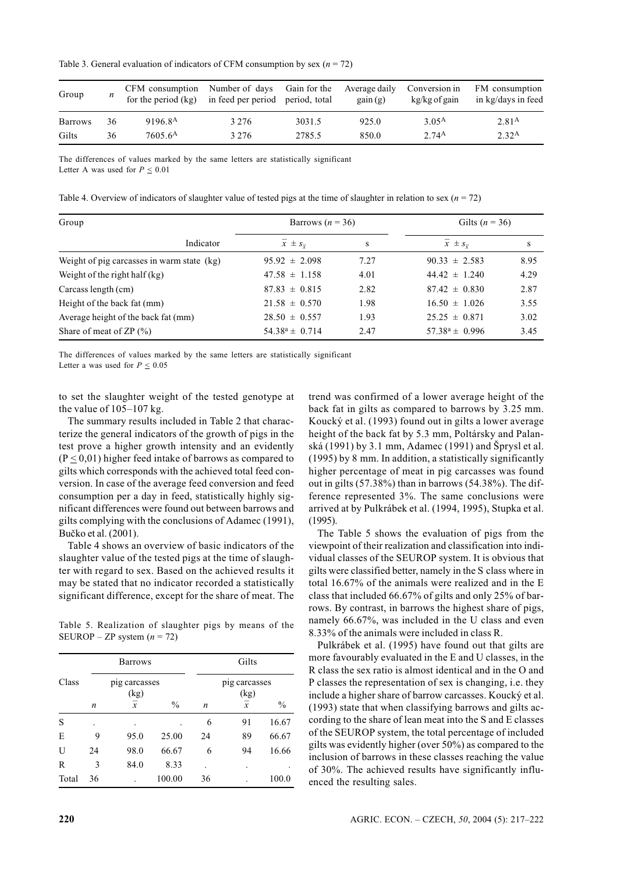Table 3. General evaluation of indicators of CFM consumption by sex ( $n = 72$ )

| Group          | n  | CFM consumption Number of days Gain for the<br>for the period (kg) in feed per period period, total |         |        | Average daily<br>gain(g) | Conversion in<br>kg/kg of gain | FM consumption<br>in kg/days in feed |
|----------------|----|-----------------------------------------------------------------------------------------------------|---------|--------|--------------------------|--------------------------------|--------------------------------------|
| <b>Barrows</b> | 36 | 9196.8 <sup>A</sup>                                                                                 | 3 2 7 6 | 3031.5 | 925.0                    | 3.05 <sup>A</sup>              | 2.81 <sup>A</sup>                    |
| Gilts          | 36 | 7605.6 <sup>A</sup>                                                                                 | 3 2 7 6 | 2785.5 | 850.0                    | 2.74 <sup>A</sup>              | 2.32 <sup>A</sup>                    |

The differences of values marked by the same letters are statistically significant Letter A was used for  $P \leq 0.01$ 

Table 4. Overview of indicators of slaughter value of tested pigs at the time of slaughter in relation to sex ( $n = 72$ )

| Group                                      | Barrows $(n = 36)$                  |      | Gilts ( $n = 36$ )                  |      |  |
|--------------------------------------------|-------------------------------------|------|-------------------------------------|------|--|
| Indicator                                  | $\overline{x} \pm s_{\overline{z}}$ | S    | $\overline{x} \pm s_{\overline{x}}$ | s    |  |
| Weight of pig carcasses in warm state (kg) | $95.92 \pm 2.098$                   | 7.27 | $90.33 \pm 2.583$                   | 8.95 |  |
| Weight of the right half $(kg)$            | $47.58 \pm 1.158$                   | 4.01 | $44.42 \pm 1.240$                   | 4.29 |  |
| Carcass length (cm)                        | $87.83 \pm 0.815$                   | 2.82 | $87.42 \pm 0.830$                   | 2.87 |  |
| Height of the back fat (mm)                | $21.58 \pm 0.570$                   | 1.98 | $16.50 \pm 1.026$                   | 3.55 |  |
| Average height of the back fat (mm)        | $28.50 \pm 0.557$                   | 1.93 | $25.25 \pm 0.871$                   | 3.02 |  |
| Share of meat of ZP $(\% )$                | $54.38^a \pm 0.714$                 | 2.47 | $57.38^a \pm 0.996$                 | 3.45 |  |

The differences of values marked by the same letters are statistically significant

Letter a was used for  $P \leq 0.05$ 

to set the slaughter weight of the tested genotype at the value of  $105-107$  kg.

The summary results included in Table 2 that characterize the general indicators of the growth of pigs in the test prove a higher growth intensity and an evidently  $(P \le 0.01)$  higher feed intake of barrows as compared to gilts which corresponds with the achieved total feed conversion. In case of the average feed conversion and feed consumption per a day in feed, statistically highly significant differences were found out between barrows and gilts complying with the conclusions of Adamec (1991). Bučko et al. (2001).

Table 4 shows an overview of basic indicators of the slaughter value of the tested pigs at the time of slaughter with regard to sex. Based on the achieved results it may be stated that no indicator recorded a statistically significant difference, except for the share of meat. The

Table 5. Realization of slaughter pigs by means of the SEUROP – ZP system  $(n = 72)$ 

|       |                  | <b>Barrows</b>        |               |                  | Gilts<br>pig carcasses<br>(kg) |               |  |  |
|-------|------------------|-----------------------|---------------|------------------|--------------------------------|---------------|--|--|
| Class |                  | pig carcasses<br>(kg) |               |                  |                                |               |  |  |
|       | $\boldsymbol{n}$ | $\overline{x}$        | $\frac{0}{0}$ | $\boldsymbol{n}$ | $\overline{x}$                 | $\frac{0}{0}$ |  |  |
| S     | ۰                |                       |               | 6                | 91                             | 16.67         |  |  |
| E     | 9                | 95.0                  | 25.00         | 24               | 89                             | 66.67         |  |  |
| U     | 24               | 98.0                  | 66.67         | 6                | 94                             | 16.66         |  |  |
| R     | 3                | 84.0                  | 8.33          |                  | ٠                              |               |  |  |
| Total | 36               |                       | 100.00        | 36               |                                | 100.0         |  |  |

trend was confirmed of a lower average height of the back fat in gilts as compared to barrows by 3.25 mm. Koucký et al. (1993) found out in gilts a lower average height of the back fat by 5.3 mm, Poltársky and Palanská (1991) by 3.1 mm, Adamec (1991) and Šprysl et al. (1995) by 8 mm. In addition, a statistically significantly higher percentage of meat in pig carcasses was found out in gilts  $(57.38\%)$  than in barrows  $(54.38\%)$ . The difference represented 3%. The same conclusions were arrived at by Pulkrábek et al. (1994, 1995). Stupka et al.  $(1995).$ 

The Table 5 shows the evaluation of pigs from the viewpoint of their realization and classification into individual classes of the SEUROP system. It is obvious that gilts were classified better, namely in the S class where in total 16.67% of the animals were realized and in the E class that included 66.67% of gilts and only 25% of barrows. By contrast, in barrows the highest share of pigs. namely 66.67%, was included in the U class and even 8.33% of the animals were included in class R.

Pulkrábek et al. (1995) have found out that gilts are more favourably evaluated in the E and U classes, in the R class the sex ratio is almost identical and in the O and P classes the representation of sex is changing, i.e. they include a higher share of barrow carcasses. Koucký et al. (1993) state that when classifying barrows and gilts according to the share of lean meat into the S and E classes of the SEUROP system, the total percentage of included gilts was evidently higher (over 50%) as compared to the inclusion of barrows in these classes reaching the value of 30%. The achieved results have significantly influenced the resulting sales.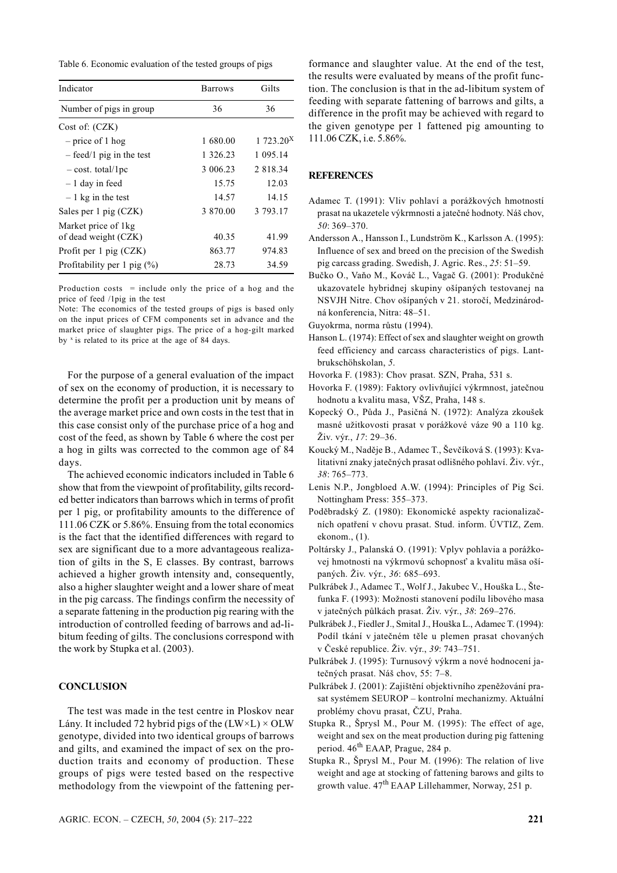Table 6. Economic evaluation of the tested groups of pigs

| Indicator                                    | <b>Barrows</b> | Gilts                |
|----------------------------------------------|----------------|----------------------|
| Number of pigs in group                      | 36             | 36                   |
| Cost of: (CZK)                               |                |                      |
| $-$ price of 1 hog                           | 1 680.00       | 1723.20 <sup>X</sup> |
| $-$ feed/1 pig in the test                   | 1 326.23       | 1 095.14             |
| $-\text{cost. total/1pc}$                    | 3 006.23       | 2 818.34             |
| $-1$ day in feed                             | 15.75          | 12.03                |
| $-1$ kg in the test                          | 14.57          | 14.15                |
| Sales per 1 pig (CZK)                        | 3 870.00       | 3 793.17             |
| Market price of 1 kg<br>of dead weight (CZK) | 40.35          | 41.99                |
| Profit per 1 pig $(CZK)$                     | 863.77         | 974.83               |
| Profitability per 1 pig $(\%)$               | 28.73          | 34.59                |

Production costs  $=$  include only the price of a hog and the price of feed /1pig in the test

Note: The economics of the tested groups of pigs is based only on the input prices of CFM components set in advance and the market price of slaughter pigs. The price of a hog-gilt marked by  $x$  is related to its price at the age of 84 days.

For the purpose of a general evaluation of the impact of sex on the economy of production, it is necessary to determine the profit per a production unit by means of the average market price and own costs in the test that in this case consist only of the purchase price of a hog and cost of the feed, as shown by Table 6 where the cost per a hog in gilts was corrected to the common age of 84 days.

The achieved economic indicators included in Table 6 show that from the viewpoint of profitability, gilts recorded better indicators than barrows which in terms of profit per 1 pig, or profitability amounts to the difference of 111.06 CZK or 5.86%. Ensuing from the total economics is the fact that the identified differences with regard to sex are significant due to a more advantageous realization of gilts in the S, E classes. By contrast, barrows achieved a higher growth intensity and, consequently, also a higher slaughter weight and a lower share of meat in the pig carcass. The findings confirm the necessity of a separate fattening in the production pig rearing with the introduction of controlled feeding of barrows and ad-libitum feeding of gilts. The conclusions correspond with the work by Stupka et al. (2003).

## **CONCLUSION**

The test was made in the test centre in Ploskov near Lány. It included 72 hybrid pigs of the  $(LW \times L) \times OLW$ genotype, divided into two identical groups of barrows and gilts, and examined the impact of sex on the production traits and economy of production. These groups of pigs were tested based on the respective methodology from the viewpoint of the fattening performance and slaughter value. At the end of the test, the results were evaluated by means of the profit function. The conclusion is that in the ad-libitum system of feeding with separate fattening of barrows and gilts, a difference in the profit may be achieved with regard to the given genotype per 1 fattened pig amounting to 111.06 CZK, i.e. 5.86%.

## **REFERENCES**

- Adamec T. (1991): Vliv pohlaví a porážkových hmotností prasat na ukazetele výkrmnosti a jatečné hodnoty. Náš chov.  $50:369 - 370$
- Andersson A., Hansson I., Lundström K., Karlsson A. (1995): Influence of sex and breed on the precision of the Swedish pig carcass grading. Swedish, J. Agric. Res., 25: 51-59.
- Bučko O., Vaňo M., Kováč L., Vagač G. (2001): Produkčné ukazovatele hybridnej skupiny ošípaných testovanej na NSVJH Nitre. Chov ošípaných v 21. storočí, Medzinárodná konferencia, Nitra: 48-51.
- Guyokrma, norma růstu (1994).
- Hanson L. (1974): Effect of sex and slaughter weight on growth feed efficiency and carcass characteristics of pigs. Lantbrukschöhskolan, 5.
- Hovorka F. (1983): Chov prasat. SZN, Praha, 531 s.
- Hovorka F. (1989): Faktory ovlivňující výkrmnost, jatečnou hodnotu a kvalitu masa, VŠZ, Praha, 148 s.
- Kopecký O., Půda J., Pasičná N. (1972): Analýza zkoušek masné užitkovosti prasat v porážkové váze 90 a 110 kg. Živ. výr., 17: 29–36.
- Koucký M., Naděje B., Adamec T., Ševčíková S. (1993): Kvalitativní znaky jatečných prasat odlišného pohlaví. Živ. výr.,  $38:765 - 773.$
- Lenis N.P., Jongbloed A.W. (1994): Principles of Pig Sci. Nottingham Press: 355-373.
- Poděbradský Z. (1980): Ekonomické aspekty racionalizačních opatření v chovu prasat. Stud. inform. ÚVTIZ, Zem. ekonom., (1).
- Poltársky J., Palanská O. (1991): Vplyv pohlavia a porážkovej hmotnosti na výkrmovú schopnosť a kvalitu mäsa ošípaných. Živ. výr., 36: 685–693.
- Pulkrábek J., Adamec T., Wolf J., Jakubec V., Houška L., Štefunka F. (1993): Možnosti stanovení podílu libového masa v jatečných půlkách prasat. Živ. výr., 38: 269–276.
- Pulkrábek J., Fiedler J., Smital J., Houška L., Adamec T. (1994): Podíl tkání v jatečném těle u plemen prasat chovaných v České republice. Živ. výr., 39: 743–751.
- Pulkrábek J. (1995): Turnusový výkrm a nové hodnocení jatečných prasat. Náš chov, 55: 7-8.
- Pulkrábek J. (2001): Zajištění objektivního zpeněžování prasat systémem SEUROP - kontrolní mechanizmy. Aktuální problémy chovu prasat, ČZU, Praha.
- Stupka R., Šprysl M., Pour M. (1995): The effect of age, weight and sex on the meat production during pig fattening period. 46<sup>th</sup> EAAP, Prague, 284 p.
- Stupka R., Šprysl M., Pour M. (1996): The relation of live weight and age at stocking of fattening barows and gilts to growth value.  $47<sup>th</sup>$  EAAP Lillehammer, Norway, 251 p.